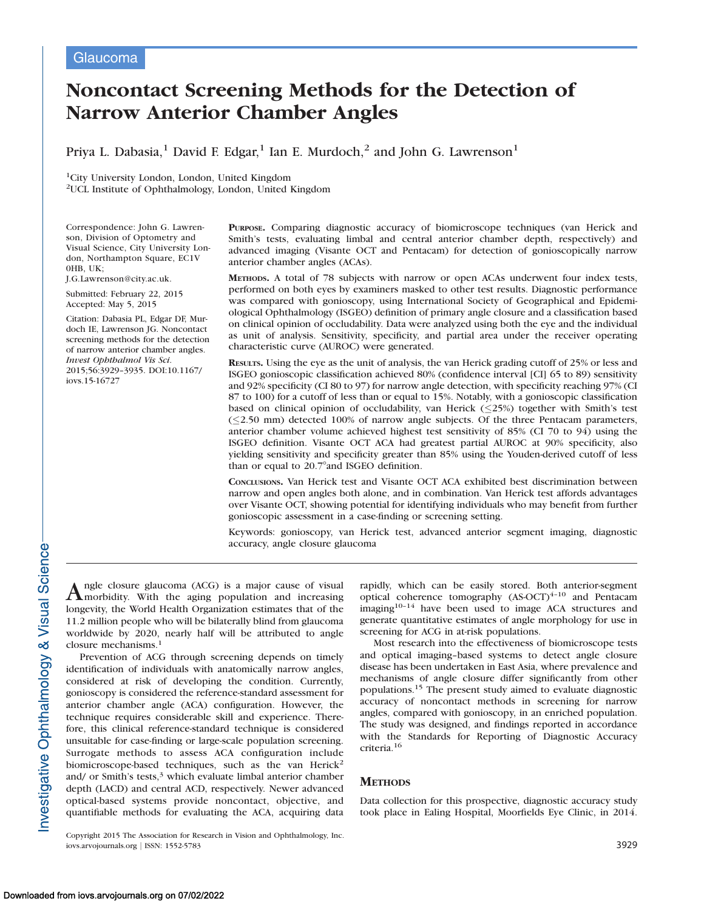# Noncontact Screening Methods for the Detection of Narrow Anterior Chamber Angles

Priya L. Dabasia,<sup>1</sup> David F. Edgar,<sup>1</sup> Ian E. Murdoch,<sup>2</sup> and John G. Lawrenson<sup>1</sup>

1City University London, London, United Kingdom 2UCL Institute of Ophthalmology, London, United Kingdom

Correspondence: John G. Lawrenson, Division of Optometry and Visual Science, City University London, Northampton Square, EC1V 0HB, UK;

J.G.Lawrenson@city.ac.uk.

Submitted: February 22, 2015 Accepted: May 5, 2015

Citation: Dabasia PL, Edgar DF, Murdoch IE, Lawrenson JG. Noncontact screening methods for the detection of narrow anterior chamber angles. Invest Ophthalmol Vis Sci. 2015;56:3929–3935. DOI:10.1167/ iovs.15-16727

PURPOSE. Comparing diagnostic accuracy of biomicroscope techniques (van Herick and Smith's tests, evaluating limbal and central anterior chamber depth, respectively) and advanced imaging (Visante OCT and Pentacam) for detection of gonioscopically narrow anterior chamber angles (ACAs).

METHODS. A total of 78 subjects with narrow or open ACAs underwent four index tests, performed on both eyes by examiners masked to other test results. Diagnostic performance was compared with gonioscopy, using International Society of Geographical and Epidemiological Ophthalmology (ISGEO) definition of primary angle closure and a classification based on clinical opinion of occludability. Data were analyzed using both the eye and the individual as unit of analysis. Sensitivity, specificity, and partial area under the receiver operating characteristic curve (AUROC) were generated.

RESULTS. Using the eye as the unit of analysis, the van Herick grading cutoff of 25% or less and ISGEO gonioscopic classification achieved 80% (confidence interval [CI] 65 to 89) sensitivity and 92% specificity (CI 80 to 97) for narrow angle detection, with specificity reaching 97% (CI 87 to 100) for a cutoff of less than or equal to 15%. Notably, with a gonioscopic classification based on clinical opinion of occludability, van Herick  $(\leq 25%)$  together with Smith's test  $(\leq 2.50$  mm) detected 100% of narrow angle subjects. Of the three Pentacam parameters, anterior chamber volume achieved highest test sensitivity of 85% (CI 70 to 94) using the ISGEO definition. Visante OCT ACA had greatest partial AUROC at 90% specificity, also yielding sensitivity and specificity greater than 85% using the Youden-derived cutoff of less than or equal to 20.7°and ISGEO definition.

CONCLUSIONS. Van Herick test and Visante OCT ACA exhibited best discrimination between narrow and open angles both alone, and in combination. Van Herick test affords advantages over Visante OCT, showing potential for identifying individuals who may benefit from further gonioscopic assessment in a case-finding or screening setting.

Keywords: gonioscopy, van Herick test, advanced anterior segment imaging, diagnostic accuracy, angle closure glaucoma

Angle closure glaucoma (ACG) is a major cause of visual<br>morbidity. With the aging population and increasing longevity, the World Health Organization estimates that of the 11.2 million people who will be bilaterally blind from glaucoma worldwide by 2020, nearly half will be attributed to angle closure mechanisms.<sup>1</sup>

Prevention of ACG through screening depends on timely identification of individuals with anatomically narrow angles, considered at risk of developing the condition. Currently, gonioscopy is considered the reference-standard assessment for anterior chamber angle (ACA) configuration. However, the technique requires considerable skill and experience. Therefore, this clinical reference-standard technique is considered unsuitable for case-finding or large-scale population screening. Surrogate methods to assess ACA configuration include biomicroscope-based techniques, such as the van Herick<sup>2</sup> and/ or Smith's tests, $3$  which evaluate limbal anterior chamber depth (LACD) and central ACD, respectively. Newer advanced optical-based systems provide noncontact, objective, and quantifiable methods for evaluating the ACA, acquiring data

Copyright 2015 The Association for Research in Vision and Ophthalmology, Inc. iovs.arvojournals.org j ISSN: 1552-5783 3929

rapidly, which can be easily stored. Both anterior-segment optical coherence tomography  $(AS-OCT)^{4-10}$  and Pentacam imaging $10-14$  have been used to image ACA structures and generate quantitative estimates of angle morphology for use in screening for ACG in at-risk populations.

Most research into the effectiveness of biomicroscope tests and optical imaging–based systems to detect angle closure disease has been undertaken in East Asia, where prevalence and mechanisms of angle closure differ significantly from other populations.<sup>15</sup> The present study aimed to evaluate diagnostic accuracy of noncontact methods in screening for narrow angles, compared with gonioscopy, in an enriched population. The study was designed, and findings reported in accordance with the Standards for Reporting of Diagnostic Accuracy criteria.<sup>16</sup>

# **METHODS**

Data collection for this prospective, diagnostic accuracy study took place in Ealing Hospital, Moorfields Eye Clinic, in 2014.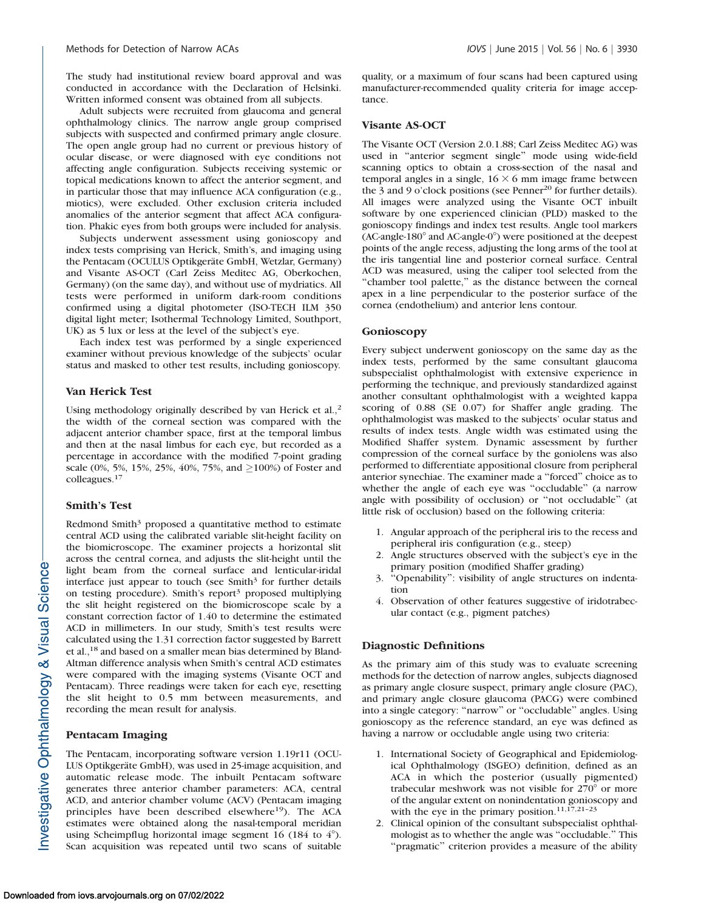The study had institutional review board approval and was conducted in accordance with the Declaration of Helsinki. Written informed consent was obtained from all subjects.

Adult subjects were recruited from glaucoma and general ophthalmology clinics. The narrow angle group comprised subjects with suspected and confirmed primary angle closure. The open angle group had no current or previous history of ocular disease, or were diagnosed with eye conditions not affecting angle configuration. Subjects receiving systemic or topical medications known to affect the anterior segment, and in particular those that may influence ACA configuration (e.g., miotics), were excluded. Other exclusion criteria included anomalies of the anterior segment that affect ACA configuration. Phakic eyes from both groups were included for analysis.

Subjects underwent assessment using gonioscopy and index tests comprising van Herick, Smith's, and imaging using the Pentacam (OCULUS Optikgeräte GmbH, Wetzlar, Germany) and Visante AS-OCT (Carl Zeiss Meditec AG, Oberkochen, Germany) (on the same day), and without use of mydriatics. All tests were performed in uniform dark-room conditions confirmed using a digital photometer (ISO-TECH ILM 350 digital light meter; Isothermal Technology Limited, Southport, UK) as 5 lux or less at the level of the subject's eye.

Each index test was performed by a single experienced examiner without previous knowledge of the subjects' ocular status and masked to other test results, including gonioscopy.

# Van Herick Test

Using methodology originally described by van Herick et al.,<sup>2</sup> the width of the corneal section was compared with the adjacent anterior chamber space, first at the temporal limbus and then at the nasal limbus for each eye, but recorded as a percentage in accordance with the modified 7-point grading scale (0%, 5%, 15%, 25%, 40%, 75%, and  $\geq$ 100%) of Foster and colleagues.<sup>17</sup>

#### Smith's Test

Redmond Smith $3$  proposed a quantitative method to estimate central ACD using the calibrated variable slit-height facility on the biomicroscope. The examiner projects a horizontal slit across the central cornea, and adjusts the slit-height until the light beam from the corneal surface and lenticular-iridal interface just appear to touch (see Smith $3$  for further details on testing procedure). Smith's report<sup>3</sup> proposed multiplying the slit height registered on the biomicroscope scale by a constant correction factor of 1.40 to determine the estimated ACD in millimeters. In our study, Smith's test results were calculated using the 1.31 correction factor suggested by Barrett et al.,18 and based on a smaller mean bias determined by Bland-Altman difference analysis when Smith's central ACD estimates were compared with the imaging systems (Visante OCT and Pentacam). Three readings were taken for each eye, resetting the slit height to 0.5 mm between measurements, and recording the mean result for analysis.

### Pentacam Imaging

The Pentacam, incorporating software version 1.19r11 (OCU-LUS Optikgeräte GmbH), was used in 25-image acquisition, and automatic release mode. The inbuilt Pentacam software generates three anterior chamber parameters: ACA, central ACD, and anterior chamber volume (ACV) (Pentacam imaging principles have been described elsewhere<sup>19</sup>). The ACA estimates were obtained along the nasal-temporal meridian using Scheimpflug horizontal image segment 16 (184 to  $4^{\circ}$ ). Scan acquisition was repeated until two scans of suitable

quality, or a maximum of four scans had been captured using manufacturer-recommended quality criteria for image acceptance.

#### Visante AS-OCT

The Visante OCT (Version 2.0.1.88; Carl Zeiss Meditec AG) was used in ''anterior segment single'' mode using wide-field scanning optics to obtain a cross-section of the nasal and temporal angles in a single,  $16 \times 6$  mm image frame between the 3 and 9 o'clock positions (see Penner<sup>20</sup> for further details). All images were analyzed using the Visante OCT inbuilt software by one experienced clinician (PLD) masked to the gonioscopy findings and index test results. Angle tool markers  $(AC\text{-angle-180}^\circ$  and  $AC\text{-angle-0}^\circ$  were positioned at the deepest points of the angle recess, adjusting the long arms of the tool at the iris tangential line and posterior corneal surface. Central ACD was measured, using the caliper tool selected from the ''chamber tool palette,'' as the distance between the corneal apex in a line perpendicular to the posterior surface of the cornea (endothelium) and anterior lens contour.

#### Gonioscopy

Every subject underwent gonioscopy on the same day as the index tests, performed by the same consultant glaucoma subspecialist ophthalmologist with extensive experience in performing the technique, and previously standardized against another consultant ophthalmologist with a weighted kappa scoring of 0.88 (SE 0.07) for Shaffer angle grading. The ophthalmologist was masked to the subjects' ocular status and results of index tests. Angle width was estimated using the Modified Shaffer system. Dynamic assessment by further compression of the corneal surface by the goniolens was also performed to differentiate appositional closure from peripheral anterior synechiae. The examiner made a ''forced'' choice as to whether the angle of each eye was ''occludable'' (a narrow angle with possibility of occlusion) or ''not occludable'' (at little risk of occlusion) based on the following criteria:

- 1. Angular approach of the peripheral iris to the recess and peripheral iris configuration (e.g., steep)
- 2. Angle structures observed with the subject's eye in the primary position (modified Shaffer grading)
- 3. ''Openability'': visibility of angle structures on indentation
- 4. Observation of other features suggestive of iridotrabecular contact (e.g., pigment patches)

#### Diagnostic Definitions

As the primary aim of this study was to evaluate screening methods for the detection of narrow angles, subjects diagnosed as primary angle closure suspect, primary angle closure (PAC), and primary angle closure glaucoma (PACG) were combined into a single category: ''narrow'' or ''occludable'' angles. Using gonioscopy as the reference standard, an eye was defined as having a narrow or occludable angle using two criteria:

- 1. International Society of Geographical and Epidemiological Ophthalmology (ISGEO) definition, defined as an ACA in which the posterior (usually pigmented) trabecular meshwork was not visible for  $270^{\circ}$  or more of the angular extent on nonindentation gonioscopy and with the eye in the primary position.<sup>11,17,21-23</sup>
- 2. Clinical opinion of the consultant subspecialist ophthalmologist as to whether the angle was ''occludable.'' This "pragmatic" criterion provides a measure of the ability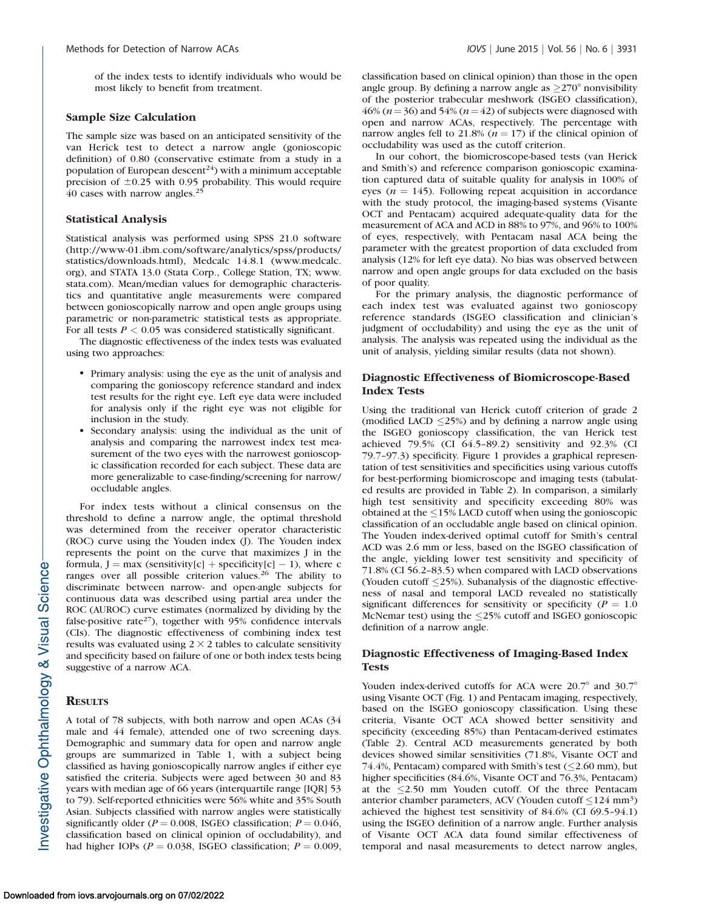of the index tests to identify individuals who would be most likely to benefit from treatment.

#### Sample Size Calculation

The sample size was based on an anticipated sensitivity of the van Herick test to detect a narrow angle (gonioscopic definition) of 0.80 (conservative estimate from a study in a population of European descent<sup>24</sup>) with a minimum acceptable precision of  $\pm 0.25$  with 0.95 probability. This would require 40 cases with narrow angles.<sup>25</sup>

#### Statistical Analysis

Statistical analysis was performed using SPSS 21.0 software (http://www-01.ibm.com/software/analytics/spss/products/ statistics/downloads.html), Medcalc 14.8.1 (www.medcalc. org), and STATA 13.0 (Stata Corp., College Station, TX; www. stata.com). Mean/median values for demographic characteristics and quantitative angle measurements were compared between gonioscopically narrow and open angle groups using parametric or non-parametric statistical tests as appropriate. For all tests  $P < 0.05$  was considered statistically significant.

The diagnostic effectiveness of the index tests was evaluated using two approaches:

- Primary analysis: using the eye as the unit of analysis and comparing the gonioscopy reference standard and index test results for the right eye. Left eye data were included for analysis only if the right eye was not eligible for inclusion in the study.
- Secondary analysis: using the individual as the unit of analysis and comparing the narrowest index test measurement of the two eyes with the narrowest gonioscopic classification recorded for each subject. These data are more generalizable to case-finding/screening for narrow/ occludable angles.

For index tests without a clinical consensus on the threshold to define a narrow angle, the optimal threshold was determined from the receiver operator characteristic (ROC) curve using the Youden index (J). The Youden index represents the point on the curve that maximizes J in the formula,  $J = max$  (sensitivity[c] + specificity[c] - 1), where c ranges over all possible criterion values.<sup>26</sup> The ability to discriminate between narrow- and open-angle subjects for continuous data was described using partial area under the ROC (AUROC) curve estimates (normalized by dividing by the false-positive rate<sup>27</sup>), together with 95% confidence intervals (CIs). The diagnostic effectiveness of combining index test results was evaluated using  $2 \times 2$  tables to calculate sensitivity and specificity based on failure of one or both index tests being suggestive of a narrow ACA.

# **RESULTS**

A total of 78 subjects, with both narrow and open ACAs (34 male and 44 female), attended one of two screening days. Demographic and summary data for open and narrow angle groups are summarized in Table 1, with a subject being classified as having gonioscopically narrow angles if either eye satisfied the criteria. Subjects were aged between 30 and 83 years with median age of 66 years (interquartile range [IQR] 53 to 79). Self-reported ethnicities were 56% white and 35% South Asian. Subjects classified with narrow angles were statistically significantly older ( $P = 0.008$ , ISGEO classification;  $P = 0.046$ , classification based on clinical opinion of occludability), and had higher IOPs ( $P = 0.038$ , ISGEO classification;  $P = 0.009$ ,

classification based on clinical opinion) than those in the open angle group. By defining a narrow angle as  $\geq$ 270° nonvisibility of the posterior trabecular meshwork (ISGEO classification), 46% ( $n=36$ ) and 54% ( $n=42$ ) of subjects were diagnosed with open and narrow ACAs, respectively. The percentage with narrow angles fell to 21.8% ( $n = 17$ ) if the clinical opinion of occludability was used as the cutoff criterion.

In our cohort, the biomicroscope-based tests (van Herick and Smith's) and reference comparison gonioscopic examination captured data of suitable quality for analysis in 100% of eyes ( $n = 145$ ). Following repeat acquisition in accordance with the study protocol, the imaging-based systems (Visante OCT and Pentacam) acquired adequate-quality data for the measurement of ACA and ACD in 88% to 97%, and 96% to 100% of eyes, respectively, with Pentacam nasal ACA being the parameter with the greatest proportion of data excluded from analysis (12% for left eye data). No bias was observed between narrow and open angle groups for data excluded on the basis of poor quality.

For the primary analysis, the diagnostic performance of each index test was evaluated against two gonioscopy reference standards (ISGEO classification and clinician's judgment of occludability) and using the eye as the unit of analysis. The analysis was repeated using the individual as the unit of analysis, yielding similar results (data not shown).

# Diagnostic Effectiveness of Biomicroscope-Based Index Tests

Using the traditional van Herick cutoff criterion of grade 2 (modified LACD  $\leq$ 25%) and by defining a narrow angle using the ISGEO gonioscopy classification, the van Herick test achieved 79.5% (CI 64.5–89.2) sensitivity and 92.3% (CI 79.7–97.3) specificity. Figure 1 provides a graphical representation of test sensitivities and specificities using various cutoffs for best-performing biomicroscope and imaging tests (tabulated results are provided in Table 2). In comparison, a similarly high test sensitivity and specificity exceeding 80% was obtained at the  $\leq$ 15% LACD cutoff when using the gonioscopic classification of an occludable angle based on clinical opinion. The Youden index-derived optimal cutoff for Smith's central ACD was 2.6 mm or less, based on the ISGEO classification of the angle, yielding lower test sensitivity and specificity of 71.8% (CI 56.2–83.5) when compared with LACD observations (Youden cutoff  $\leq$ 25%). Subanalysis of the diagnostic effectiveness of nasal and temporal LACD revealed no statistically significant differences for sensitivity or specificity ( $P = 1.0$ ) McNemar test) using the  $\leq$ 25% cutoff and ISGEO gonioscopic definition of a narrow angle.

# Diagnostic Effectiveness of Imaging-Based Index Tests

Youden index-derived cutoffs for ACA were  $20.7^\circ$  and  $30.7^\circ$ using Visante OCT (Fig. 1) and Pentacam imaging, respectively, based on the ISGEO gonioscopy classification. Using these criteria, Visante OCT ACA showed better sensitivity and specificity (exceeding 85%) than Pentacam-derived estimates (Table 2). Central ACD measurements generated by both devices showed similar sensitivities (71.8%, Visante OCT and 74.4%, Pentacam) compared with Smith's test  $(\leq2.60$  mm), but higher specificities (84.6%, Visante OCT and 76.3%, Pentacam) at the  $\leq$ 2.50 mm Youden cutoff. Of the three Pentacam anterior chamber parameters, ACV (Youden cutoff  $\leq$ 124 mm<sup>3</sup>) achieved the highest test sensitivity of 84.6% (CI 69.5–94.1) using the ISGEO definition of a narrow angle. Further analysis of Visante OCT ACA data found similar effectiveness of temporal and nasal measurements to detect narrow angles,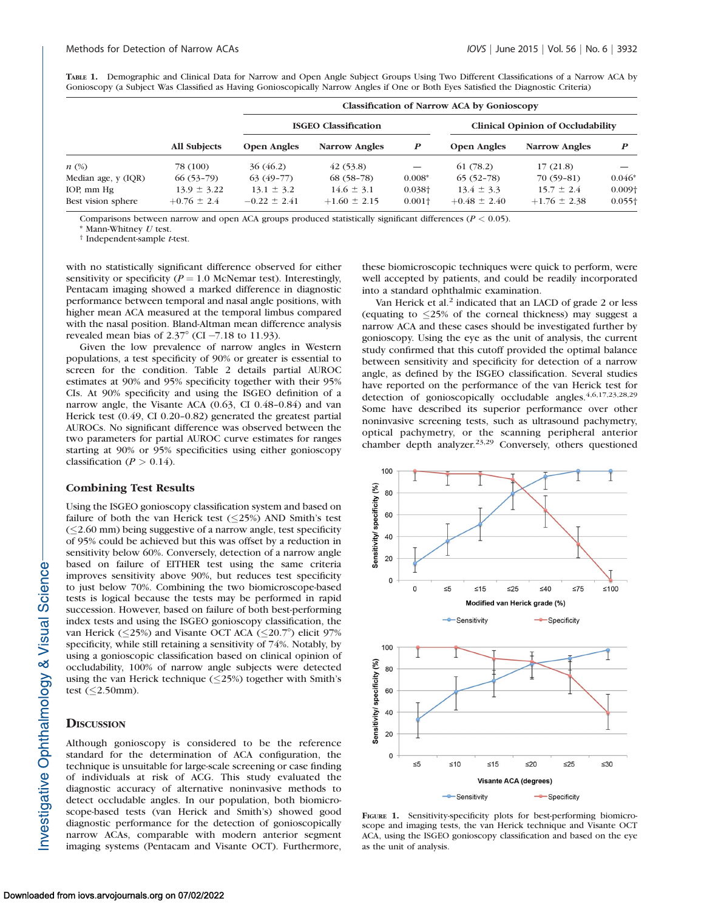|  | TABLE 1. Demographic and Clinical Data for Narrow and Open Angle Subject Groups Using Two Different Classifications of a Narrow ACA by |  |  |  |  |
|--|----------------------------------------------------------------------------------------------------------------------------------------|--|--|--|--|
|  | Gonioscopy (a Subject Was Classified as Having Gonioscopically Narrow Angles if One or Both Eyes Satisfied the Diagnostic Criteria)    |  |  |  |  |

|                     |                     | <b>Classification of Narrow ACA by Gonioscopy</b> |                             |                          |                                          |                      |                |  |  |
|---------------------|---------------------|---------------------------------------------------|-----------------------------|--------------------------|------------------------------------------|----------------------|----------------|--|--|
|                     |                     |                                                   | <b>ISGEO Classification</b> |                          | <b>Clinical Opinion of Occludability</b> |                      |                |  |  |
|                     | <b>All Subjects</b> | <b>Open Angles</b>                                | <b>Narrow Angles</b>        | $\boldsymbol{P}$         | <b>Open Angles</b>                       | <b>Narrow Angles</b> | P              |  |  |
| $n \ (\%)$          | 78 (100)            | 36(46.2)                                          | (42(53.8))                  | $\overline{\phantom{0}}$ | 61(78.2)                                 | 17(21.8)             |                |  |  |
| Median age, y (IQR) | $66(53-79)$         | $63(49-77)$                                       | $68(58-78)$                 | $0.008*$                 | $65(52-78)$                              | $70(59-81)$          | $0.046*$       |  |  |
| IOP, mm Hg          | $13.9 \pm 3.22$     | $13.1 \pm 3.2$                                    | $14.6 \pm 3.1$              | $0.038\dagger$           | $13.4 \pm 3.3$                           | $15.7 \pm 2.4$       | $0.009\dagger$ |  |  |
| Best vision sphere  | $+0.76 \pm 2.4$     | $-0.22 \pm 2.41$                                  | $+1.60 \pm 2.15$            | $0.001\dagger$           | $+0.48 \pm 2.40$                         | $+1.76 \pm 2.38$     | $0.055\dagger$ |  |  |

Comparisons between narrow and open ACA groups produced statistically significant differences ( $P < 0.05$ ).

\* Mann-Whitney  $U$  test.<br>† Independent-sample  $t$ -test.

with no statistically significant difference observed for either sensitivity or specificity ( $P = 1.0$  McNemar test). Interestingly, Pentacam imaging showed a marked difference in diagnostic performance between temporal and nasal angle positions, with higher mean ACA measured at the temporal limbus compared with the nasal position. Bland-Altman mean difference analysis revealed mean bias of  $2.37^{\circ}$  (CI -7.18 to 11.93).

Given the low prevalence of narrow angles in Western populations, a test specificity of 90% or greater is essential to screen for the condition. Table 2 details partial AUROC estimates at 90% and 95% specificity together with their 95% CIs. At 90% specificity and using the ISGEO definition of a narrow angle, the Visante ACA (0.63, CI 0.48–0.84) and van Herick test (0.49, CI 0.20–0.82) generated the greatest partial AUROCs. No significant difference was observed between the two parameters for partial AUROC curve estimates for ranges starting at 90% or 95% specificities using either gonioscopy classification ( $P > 0.14$ ).

#### Combining Test Results

Using the ISGEO gonioscopy classification system and based on failure of both the van Herick test  $(\leq$ 25%) AND Smith's test  $(\leq 2.60$  mm) being suggestive of a narrow angle, test specificity of 95% could be achieved but this was offset by a reduction in sensitivity below 60%. Conversely, detection of a narrow angle based on failure of EITHER test using the same criteria improves sensitivity above 90%, but reduces test specificity to just below 70%. Combining the two biomicroscope-based tests is logical because the tests may be performed in rapid succession. However, based on failure of both best-performing index tests and using the ISGEO gonioscopy classification, the van Herick ( $\leq$ 25%) and Visante OCT ACA ( $\leq$ 20.7°) elicit 97% specificity, while still retaining a sensitivity of 74%. Notably, by using a gonioscopic classification based on clinical opinion of occludability, 100% of narrow angle subjects were detected using the van Herick technique  $(\leq$ 25%) together with Smith's test  $(\leq 2.50$ mm).

#### **DISCUSSION**

Although gonioscopy is considered to be the reference standard for the determination of ACA configuration, the technique is unsuitable for large-scale screening or case finding of individuals at risk of ACG. This study evaluated the diagnostic accuracy of alternative noninvasive methods to detect occludable angles. In our population, both biomicroscope-based tests (van Herick and Smith's) showed good diagnostic performance for the detection of gonioscopically narrow ACAs, comparable with modern anterior segment imaging systems (Pentacam and Visante OCT). Furthermore,

these biomicroscopic techniques were quick to perform, were well accepted by patients, and could be readily incorporated into a standard ophthalmic examination.

Van Herick et al.<sup>2</sup> indicated that an LACD of grade 2 or less (equating to  $\leq$ 25% of the corneal thickness) may suggest a narrow ACA and these cases should be investigated further by gonioscopy. Using the eye as the unit of analysis, the current study confirmed that this cutoff provided the optimal balance between sensitivity and specificity for detection of a narrow angle, as defined by the ISGEO classification. Several studies have reported on the performance of the van Herick test for detection of gonioscopically occludable angles. $4,6,17,23,28,29$ Some have described its superior performance over other noninvasive screening tests, such as ultrasound pachymetry, optical pachymetry, or the scanning peripheral anterior chamber depth analyzer.23,29 Conversely, others questioned



FIGURE 1. Sensitivity-specificity plots for best-performing biomicroscope and imaging tests, the van Herick technique and Visante OCT ACA, using the ISGEO gonioscopy classification and based on the eye as the unit of analysis.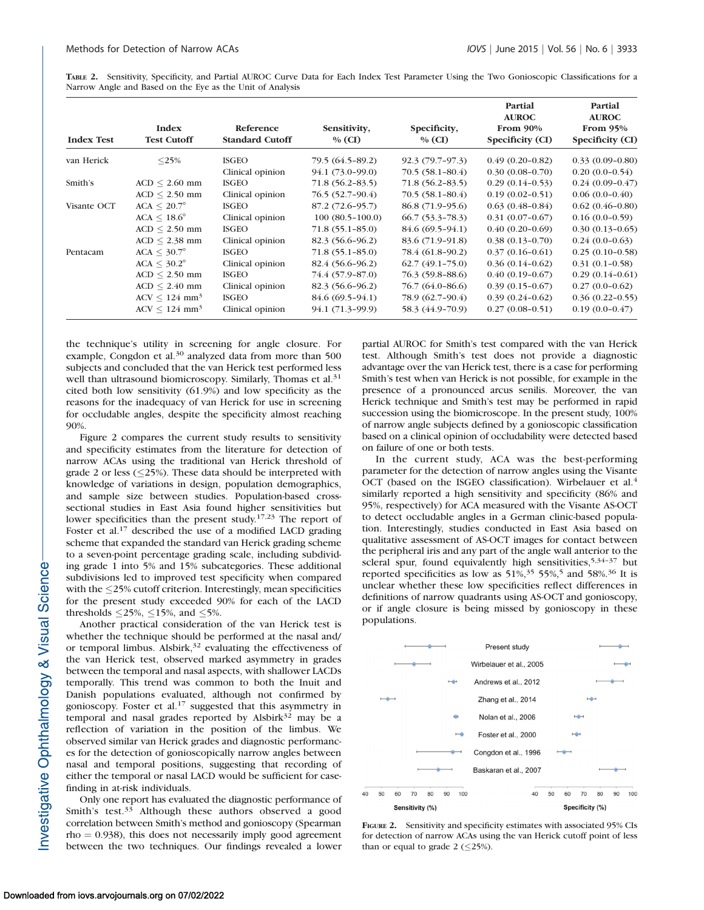TABLE 2. Sensitivity, Specificity, and Partial AUROC Curve Data for Each Index Test Parameter Using the Two Gonioscopic Classifications for a Narrow Angle and Based on the Eye as the Unit of Analysis

| <b>Index Test</b> | Index<br><b>Test Cutoff</b> | Reference<br><b>Standard Cutoff</b> | Sensitivity,<br>$\%$ (CI) | Specificity,<br>$%$ (CI) | Partial<br><b>AUROC</b><br>From $90\%$<br>Specificity (CI) | Partial<br><b>AUROC</b><br>From $95%$<br>Specificity (CI) |
|-------------------|-----------------------------|-------------------------------------|---------------------------|--------------------------|------------------------------------------------------------|-----------------------------------------------------------|
| van Herick        | $<$ 25%                     | <b>ISGEO</b>                        | 79.5 (64.5-89.2)          | 92.3 (79.7-97.3)         | $0.49(0.20-0.82)$                                          | $0.33(0.09-0.80)$                                         |
|                   |                             | Clinical opinion                    | 94.1 (73.0-99.0)          | $70.5(58.1 - 80.4)$      | $0.30(0.08-0.70)$                                          | $0.20(0.0-0.54)$                                          |
| Smith's           | $ACD < 2.60$ mm             | <b>ISGEO</b>                        | 71.8 (56.2-83.5)          | $71.8(56.2 - 83.5)$      | $0.29(0.14-0.53)$                                          | $0.24(0.09-0.47)$                                         |
|                   | $ACD \leq 2.50$ mm          | Clinical opinion                    | 76.5 (52.7-90.4)          | $70.5(58.1 - 80.4)$      | $0.19(0.02-0.51)$                                          | $0.06(0.0-0.40)$                                          |
| Visante OCT       | $ACA \leq 20.7^{\circ}$     | <b>ISGEO</b>                        | 87.2 (72.6-95.7)          | 86.8 (71.9-95.6)         | $0.63(0.48-0.84)$                                          | $0.62(0.46-0.80)$                                         |
|                   | $ACA \leq 18.6^{\circ}$     | Clinical opinion                    | $100(80.5-100.0)$         | $66.7(53.3-78.3)$        | $0.31(0.07-0.67)$                                          | $0.16(0.0-0.59)$                                          |
|                   | $ACD < 2.50$ mm             | <b>ISGEO</b>                        | $71.8(55.1 - 85.0)$       | 84.6 (69.5–94.1)         | $0.40(0.20-0.69)$                                          | $0.30(0.13 - 0.65)$                                       |
|                   | $ACD \leq 2.38$ mm          | Clinical opinion                    | 82.3 (56.6–96.2)          | 83.6 (71.9-91.8)         | $0.38(0.13 - 0.70)$                                        | $0.24(0.0-0.63)$                                          |
| Pentacam          | $ACA \leq 30.7^\circ$       | <b>ISGEO</b>                        | $71.8(55.1-85.0)$         | 78.4 (61.8-90.2)         | $0.37(0.16-0.61)$                                          | $0.25(0.10-0.58)$                                         |
|                   | $ACA \leq 30.2^{\circ}$     | Clinical opinion                    | 82.4 (56.6–96.2)          | $62.7(49.1 - 75.0)$      | $0.36(0.14-0.62)$                                          | $0.31(0.1-0.58)$                                          |
|                   | $ACD < 2.50$ mm             | <b>ISGEO</b>                        | 74.4 (57.9-87.0)          | 76.3 (59.8–88.6)         | $0.40(0.19-0.67)$                                          | $0.29(0.14-0.61)$                                         |
|                   | $ACD \leq 2.40$ mm          | Clinical opinion                    | 82.3 (56.6–96.2)          | 76.7 (64.0–86.6)         | $0.39(0.15-0.67)$                                          | $0.27(0.0-0.62)$                                          |
|                   | $ACV < 124$ mm <sup>3</sup> | <b>ISGEO</b>                        | 84.6 (69.5-94.1)          | 78.9 (62.7-90.4)         | $0.39(0.24 - 0.62)$                                        | $0.36(0.22 - 0.55)$                                       |
|                   | $ACV < 124$ mm <sup>3</sup> | Clinical opinion                    | 94.1 (71.3-99.9)          | 58.3 (44.9-70.9)         | $0.27(0.08-0.51)$                                          | $0.19(0.0-0.47)$                                          |

the technique's utility in screening for angle closure. For example, Congdon et al.<sup>30</sup> analyzed data from more than 500 subjects and concluded that the van Herick test performed less well than ultrasound biomicroscopy. Similarly, Thomas et al.<sup>31</sup> cited both low sensitivity (61.9%) and low specificity as the reasons for the inadequacy of van Herick for use in screening for occludable angles, despite the specificity almost reaching 90%.

Figure 2 compares the current study results to sensitivity and specificity estimates from the literature for detection of narrow ACAs using the traditional van Herick threshold of grade 2 or less  $(\leq$  25%). These data should be interpreted with knowledge of variations in design, population demographics, and sample size between studies. Population-based crosssectional studies in East Asia found higher sensitivities but lower specificities than the present study.17,23 The report of Foster et al.<sup>17</sup> described the use of a modified LACD grading scheme that expanded the standard van Herick grading scheme to a seven-point percentage grading scale, including subdividing grade 1 into 5% and 15% subcategories. These additional subdivisions led to improved test specificity when compared with the  $\leq$ 25% cutoff criterion. Interestingly, mean specificities for the present study exceeded 90% for each of the LACD thresholds  $\leq$ 25%,  $\leq$ 15%, and  $\leq$ 5%.

Another practical consideration of the van Herick test is whether the technique should be performed at the nasal and/ or temporal limbus. Alsbirk, $3^2$  evaluating the effectiveness of the van Herick test, observed marked asymmetry in grades between the temporal and nasal aspects, with shallower LACDs temporally. This trend was common to both the Inuit and Danish populations evaluated, although not confirmed by gonioscopy. Foster et al.<sup>17</sup> suggested that this asymmetry in temporal and nasal grades reported by Alsbirk $32$  may be a reflection of variation in the position of the limbus. We observed similar van Herick grades and diagnostic performances for the detection of gonioscopically narrow angles between nasal and temporal positions, suggesting that recording of either the temporal or nasal LACD would be sufficient for casefinding in at-risk individuals.

Only one report has evaluated the diagnostic performance of Smith's test.<sup>33</sup> Although these authors observed a good correlation between Smith's method and gonioscopy (Spearman  $rho = 0.938$ , this does not necessarily imply good agreement between the two techniques. Our findings revealed a lower partial AUROC for Smith's test compared with the van Herick test. Although Smith's test does not provide a diagnostic advantage over the van Herick test, there is a case for performing Smith's test when van Herick is not possible, for example in the presence of a pronounced arcus senilis. Moreover, the van Herick technique and Smith's test may be performed in rapid succession using the biomicroscope. In the present study, 100% of narrow angle subjects defined by a gonioscopic classification based on a clinical opinion of occludability were detected based on failure of one or both tests.

In the current study, ACA was the best-performing parameter for the detection of narrow angles using the Visante OCT (based on the ISGEO classification). Wirbelauer et al.<sup>4</sup> similarly reported a high sensitivity and specificity (86% and 95%, respectively) for ACA measured with the Visante AS-OCT to detect occludable angles in a German clinic-based population. Interestingly, studies conducted in East Asia based on qualitative assessment of AS-OCT images for contact between the peripheral iris and any part of the angle wall anterior to the scleral spur, found equivalently high sensitivities, 5,34-37 but reported specificities as low as  $51\%$ <sup>35</sup> 55%,<sup>5</sup> and 58%.<sup>36</sup> It is unclear whether these low specificities reflect differences in definitions of narrow quadrants using AS-OCT and gonioscopy, or if angle closure is being missed by gonioscopy in these populations.



FIGURE 2. Sensitivity and specificity estimates with associated 95% CIs for detection of narrow ACAs using the van Herick cutoff point of less than or equal to grade  $2 \leq 25\%$ ).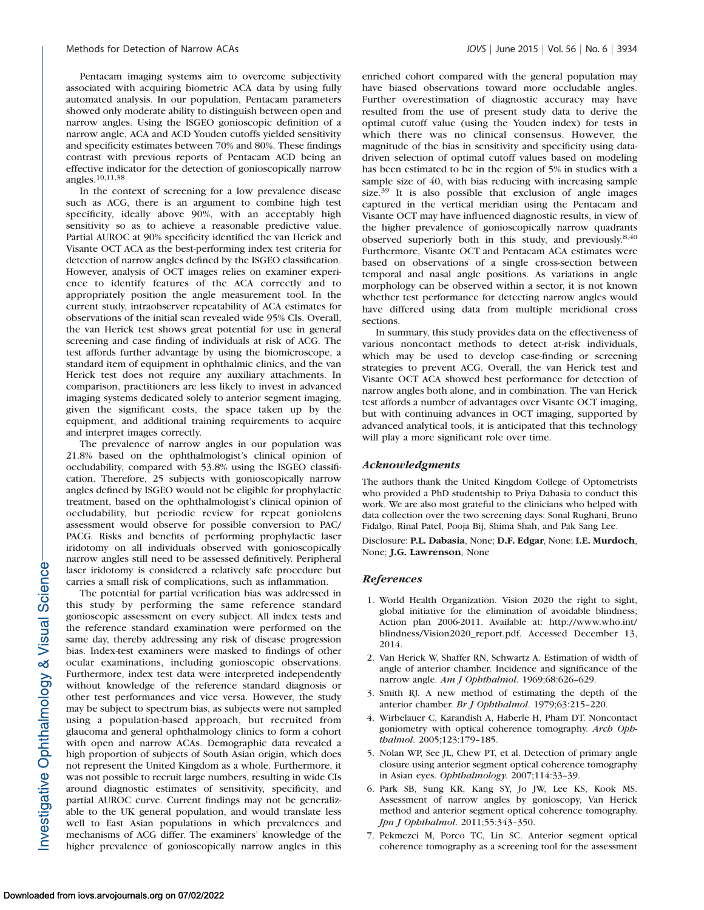Pentacam imaging systems aim to overcome subjectivity associated with acquiring biometric ACA data by using fully automated analysis. In our population, Pentacam parameters showed only moderate ability to distinguish between open and narrow angles. Using the ISGEO gonioscopic definition of a narrow angle, ACA and ACD Youden cutoffs yielded sensitivity and specificity estimates between 70% and 80%. These findings contrast with previous reports of Pentacam ACD being an effective indicator for the detection of gonioscopically narrow angles.10,11,38

In the context of screening for a low prevalence disease such as ACG, there is an argument to combine high test specificity, ideally above 90%, with an acceptably high sensitivity so as to achieve a reasonable predictive value. Partial AUROC at 90% specificity identified the van Herick and Visante OCT ACA as the best-performing index test criteria for detection of narrow angles defined by the ISGEO classification. However, analysis of OCT images relies on examiner experience to identify features of the ACA correctly and to appropriately position the angle measurement tool. In the current study, intraobserver repeatability of ACA estimates for observations of the initial scan revealed wide 95% CIs. Overall, the van Herick test shows great potential for use in general screening and case finding of individuals at risk of ACG. The test affords further advantage by using the biomicroscope, a standard item of equipment in ophthalmic clinics, and the van Herick test does not require any auxiliary attachments. In comparison, practitioners are less likely to invest in advanced imaging systems dedicated solely to anterior segment imaging, given the significant costs, the space taken up by the equipment, and additional training requirements to acquire and interpret images correctly.

The prevalence of narrow angles in our population was 21.8% based on the ophthalmologist's clinical opinion of occludability, compared with 53.8% using the ISGEO classification. Therefore, 25 subjects with gonioscopically narrow angles defined by ISGEO would not be eligible for prophylactic treatment, based on the ophthalmologist's clinical opinion of occludability, but periodic review for repeat goniolens assessment would observe for possible conversion to PAC/ PACG. Risks and benefits of performing prophylactic laser iridotomy on all individuals observed with gonioscopically narrow angles still need to be assessed definitively. Peripheral laser iridotomy is considered a relatively safe procedure but carries a small risk of complications, such as inflammation.

The potential for partial verification bias was addressed in this study by performing the same reference standard gonioscopic assessment on every subject. All index tests and the reference standard examination were performed on the same day, thereby addressing any risk of disease progression bias. Index-test examiners were masked to findings of other ocular examinations, including gonioscopic observations. Furthermore, index test data were interpreted independently without knowledge of the reference standard diagnosis or other test performances and vice versa. However, the study may be subject to spectrum bias, as subjects were not sampled using a population-based approach, but recruited from glaucoma and general ophthalmology clinics to form a cohort with open and narrow ACAs. Demographic data revealed a high proportion of subjects of South Asian origin, which does not represent the United Kingdom as a whole. Furthermore, it was not possible to recruit large numbers, resulting in wide CIs around diagnostic estimates of sensitivity, specificity, and partial AUROC curve. Current findings may not be generalizable to the UK general population, and would translate less well to East Asian populations in which prevalences and mechanisms of ACG differ. The examiners' knowledge of the higher prevalence of gonioscopically narrow angles in this

enriched cohort compared with the general population may have biased observations toward more occludable angles. Further overestimation of diagnostic accuracy may have resulted from the use of present study data to derive the optimal cutoff value (using the Youden index) for tests in which there was no clinical consensus. However, the magnitude of the bias in sensitivity and specificity using datadriven selection of optimal cutoff values based on modeling has been estimated to be in the region of 5% in studies with a sample size of 40, with bias reducing with increasing sample size.<sup>39</sup> It is also possible that exclusion of angle images captured in the vertical meridian using the Pentacam and Visante OCT may have influenced diagnostic results, in view of the higher prevalence of gonioscopically narrow quadrants observed superiorly both in this study, and previously.8,40 Furthermore, Visante OCT and Pentacam ACA estimates were based on observations of a single cross-section between temporal and nasal angle positions. As variations in angle morphology can be observed within a sector, it is not known whether test performance for detecting narrow angles would have differed using data from multiple meridional cross sections.

In summary, this study provides data on the effectiveness of various noncontact methods to detect at-risk individuals, which may be used to develop case-finding or screening strategies to prevent ACG. Overall, the van Herick test and Visante OCT ACA showed best performance for detection of narrow angles both alone, and in combination. The van Herick test affords a number of advantages over Visante OCT imaging, but with continuing advances in OCT imaging, supported by advanced analytical tools, it is anticipated that this technology will play a more significant role over time.

# Acknowledgments

The authors thank the United Kingdom College of Optometrists who provided a PhD studentship to Priya Dabasia to conduct this work. We are also most grateful to the clinicians who helped with data collection over the two screening days: Sonal Rughani, Bruno Fidalgo, Rinal Patel, Pooja Bij, Shima Shah, and Pak Sang Lee.

Disclosure: P.L. Dabasia, None; D.F. Edgar, None; I.E. Murdoch, None; J.G. Lawrenson, None

#### References

- 1. World Health Organization. Vision 2020 the right to sight, global initiative for the elimination of avoidable blindness; Action plan 2006-2011. Available at: http://www.who.int/ blindness/Vision2020\_report.pdf. Accessed December 13, 2014.
- 2. Van Herick W, Shaffer RN, Schwartz A. Estimation of width of angle of anterior chamber. Incidence and significance of the narrow angle. Am J Ophthalmol. 1969;68:626-629.
- 3. Smith RJ. A new method of estimating the depth of the anterior chamber. Br J Ophthalmol. 1979;63:215–220.
- 4. Wirbelauer C, Karandish A, Haberle H, Pham DT. Noncontact goniometry with optical coherence tomography. Arch Ophthalmol. 2005;123:179–185.
- 5. Nolan WP, See JL, Chew PT, et al. Detection of primary angle closure using anterior segment optical coherence tomography in Asian eyes. Ophthalmology. 2007;114:33–39.
- 6. Park SB, Sung KR, Kang SY, Jo JW, Lee KS, Kook MS. Assessment of narrow angles by gonioscopy, Van Herick method and anterior segment optical coherence tomography. Jpn J Ophthalmol. 2011;55:343–350.
- 7. Pekmezci M, Porco TC, Lin SC. Anterior segment optical coherence tomography as a screening tool for the assessment